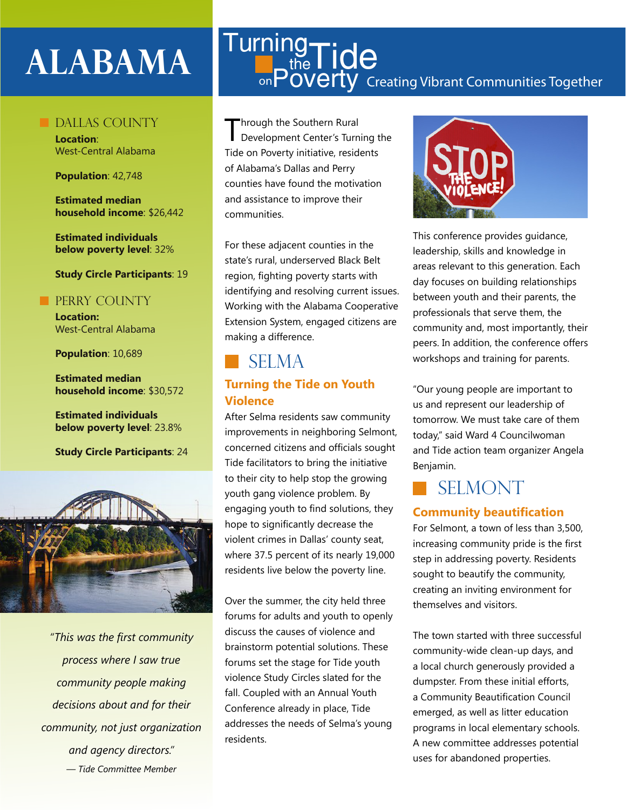# **ALABAMA**

#### Dallas County

**Location**: West-Central Alabama

**Population**: 42,748

**Estimated median household income**: \$26,442

**Estimated individuals below poverty level**: 32%

#### **Study Circle Participants**: 19

#### **PERRY COUNTY**

**Location:**  West-Central Alabama

**Population**: 10,689

**Estimated median household income**: \$30,572

**Estimated individuals below poverty level**: 23.8%

**Study Circle Participants**: 24



*"This was the first community process where I saw true community people making decisions about and for their community, not just organization and agency directors." — Tide Committee Member*

#### Creating Vibrant Communities Together **Turning**  $t_{\text{the}}^{\text{19}}$ Tide <sub>on</sub>Poverty

Through the Southern Rural Development Center's Turning the Tide on Poverty initiative, residents of Alabama's Dallas and Perry counties have found the motivation and assistance to improve their communities.

For these adjacent counties in the state's rural, underserved Black Belt region, fighting poverty starts with identifying and resolving current issues. Working with the Alabama Cooperative Extension System, engaged citizens are making a difference.

### **SELMA**

#### **Turning the Tide on Youth Violence**

After Selma residents saw community improvements in neighboring Selmont, concerned citizens and officials sought Tide facilitators to bring the initiative to their city to help stop the growing youth gang violence problem. By engaging youth to find solutions, they hope to significantly decrease the violent crimes in Dallas' county seat, where 37.5 percent of its nearly 19,000 residents live below the poverty line.

Over the summer, the city held three forums for adults and youth to openly discuss the causes of violence and brainstorm potential solutions. These forums set the stage for Tide youth violence Study Circles slated for the fall. Coupled with an Annual Youth Conference already in place, Tide addresses the needs of Selma's young residents.



This conference provides guidance, leadership, skills and knowledge in areas relevant to this generation. Each day focuses on building relationships between youth and their parents, the professionals that serve them, the community and, most importantly, their peers. In addition, the conference offers workshops and training for parents.

"Our young people are important to us and represent our leadership of tomorrow. We must take care of them today," said Ward 4 Councilwoman and Tide action team organizer Angela Benjamin.

## **SELMONT**

#### **Community beautification**

For Selmont, a town of less than 3,500, increasing community pride is the first step in addressing poverty. Residents sought to beautify the community, creating an inviting environment for themselves and visitors.

The town started with three successful community-wide clean-up days, and a local church generously provided a dumpster. From these initial efforts, a Community Beautification Council emerged, as well as litter education programs in local elementary schools. A new committee addresses potential uses for abandoned properties.